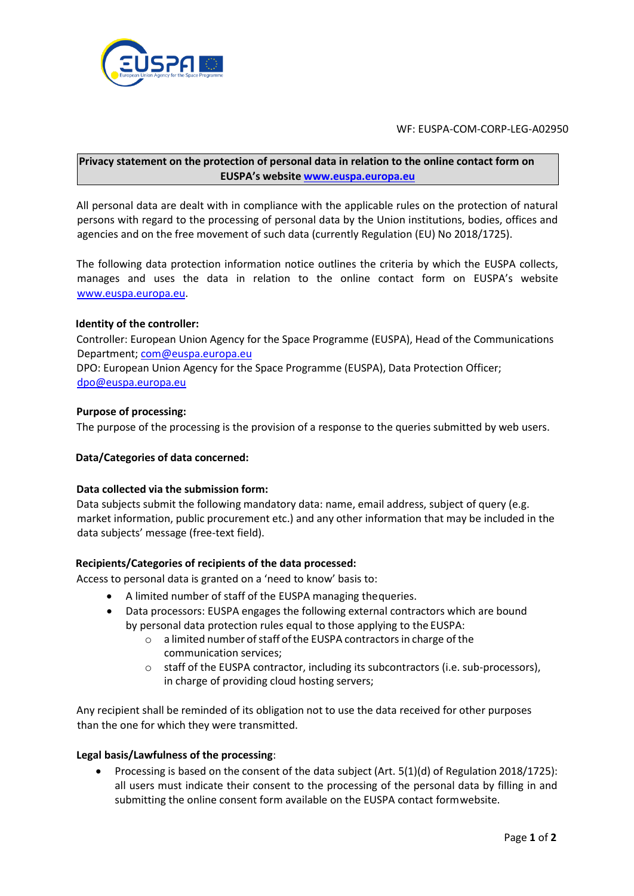

WF: EUSPA-COM-CORP-LEG-A02950

# **Privacy statement on the protection of personal data in relation to the online contact form on EUSPA's website [www.euspa.europa.eu](http://www.euspa.europa.eu/)**

All personal data are dealt with in compliance with the applicable rules on the protection of natural persons with regard to the processing of personal data by the Union institutions, bodies, offices and agencies and on the free movement of such data (currently Regulation (EU) No 2018/1725).

The following data protection information notice outlines the criteria by which the EUSPA collects, manages and uses the data in relation to the online contact form on EUSPA's websit[e](http://www.gsa.europa.eu/) [www.euspa.europa.eu](http://www.euspa.europa.eu/)[.](http://www.gsa.europa.eu/)

## **Identity of the controller:**

Controller: European Union Agency for the Space Programme (EUSPA), Head of the Communications Department[; com@euspa.europa.eu](mailto:com@euspa.europa.eu)

DPO: European Union Agency for the Space Programme (EUSPA), Data Protection Officer; [dpo@euspa.europa.eu](mailto:dpo@euspa.europa.eu)

## **Purpose of processing:**

The purpose of the processing is the provision of a response to the queries submitted by web users.

## **Data/Categories of data concerned:**

#### **Data collected via the submission form:**

Data subjects submit the following mandatory data: name, email address, subject of query (e.g. market information, public procurement etc.) and any other information that may be included in the data subjects' message (free-text field).

## **Recipients/Categories of recipients of the data processed:**

Access to personal data is granted on a 'need to know' basis to:

- A limited number of staff of the EUSPA managing thequeries.
- Data processors: EUSPA engages the following external contractors which are bound by personal data protection rules equal to those applying to the EUSPA:
	- $\circ$  a limited number of staff of the EUSPA contractors in charge of the communication services;
	- o staff of the EUSPA contractor, including its subcontractors (i.e. sub-processors), in charge of providing cloud hosting servers;

Any recipient shall be reminded of its obligation not to use the data received for other purposes than the one for which they were transmitted.

#### **Legal basis/Lawfulness of the processing**:

• Processing is based on the consent of the data subject (Art. 5(1)(d) of Regulation 2018/1725): all users must indicate their consent to the processing of the personal data by filling in and submitting the online consent form available on the EUSPA contact formwebsite.